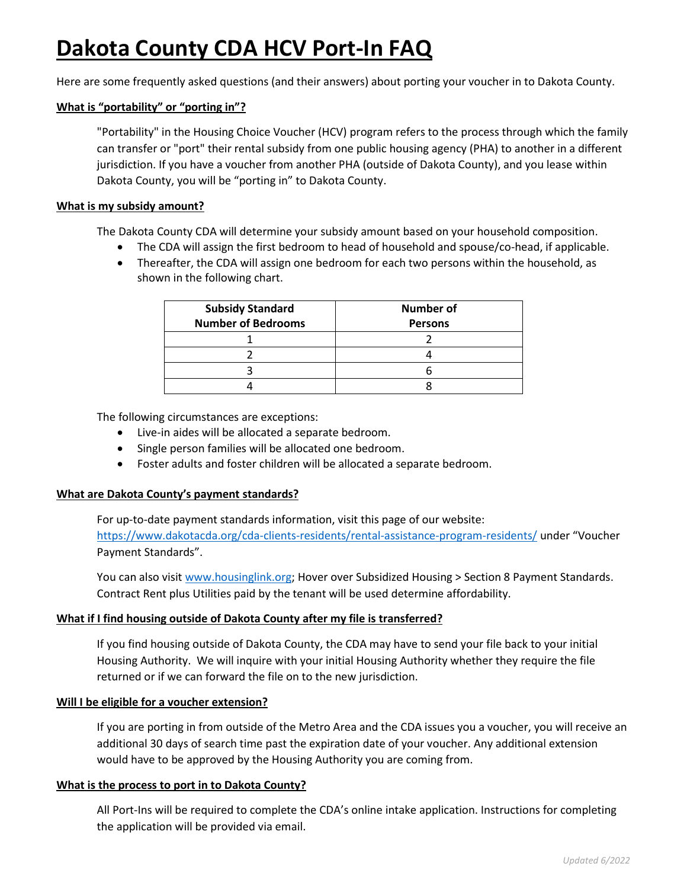# **Dakota County CDA HCV Port-In FAQ**

Here are some frequently asked questions (and their answers) about porting your voucher in to Dakota County.

## **What is "portability" or "porting in"?**

"Portability" in the Housing Choice Voucher (HCV) program refers to the process through which the family can transfer or "port" their rental subsidy from one public housing agency (PHA) to another in a different jurisdiction. If you have a voucher from another PHA (outside of Dakota County), and you lease within Dakota County, you will be "porting in" to Dakota County.

#### **What is my subsidy amount?**

The Dakota County CDA will determine your subsidy amount based on your household composition.

- The CDA will assign the first bedroom to head of household and spouse/co-head, if applicable.
- Thereafter, the CDA will assign one bedroom for each two persons within the household, as shown in the following chart.

| <b>Subsidy Standard</b><br><b>Number of Bedrooms</b> | <b>Number of</b><br><b>Persons</b> |
|------------------------------------------------------|------------------------------------|
|                                                      |                                    |
|                                                      |                                    |
|                                                      |                                    |
|                                                      |                                    |

The following circumstances are exceptions:

- Live-in aides will be allocated a separate bedroom.
- Single person families will be allocated one bedroom.
- Foster adults and foster children will be allocated a separate bedroom.

#### **What are Dakota County's payment standards?**

For up-to-date payment standards information, visit this page of our website: <https://www.dakotacda.org/cda-clients-residents/rental-assistance-program-residents/> under "Voucher Payment Standards".

You can also visit [www.housinglink.org;](http://www.housinglink.org/) Hover over Subsidized Housing > Section 8 Payment Standards. Contract Rent plus Utilities paid by the tenant will be used determine affordability.

## **What if I find housing outside of Dakota County after my file is transferred?**

If you find housing outside of Dakota County, the CDA may have to send your file back to your initial Housing Authority. We will inquire with your initial Housing Authority whether they require the file returned or if we can forward the file on to the new jurisdiction.

#### **Will I be eligible for a voucher extension?**

If you are porting in from outside of the Metro Area and the CDA issues you a voucher, you will receive an additional 30 days of search time past the expiration date of your voucher. Any additional extension would have to be approved by the Housing Authority you are coming from.

## **What is the process to port in to Dakota County?**

All Port-Ins will be required to complete the CDA's online intake application. Instructions for completing the application will be provided via email.